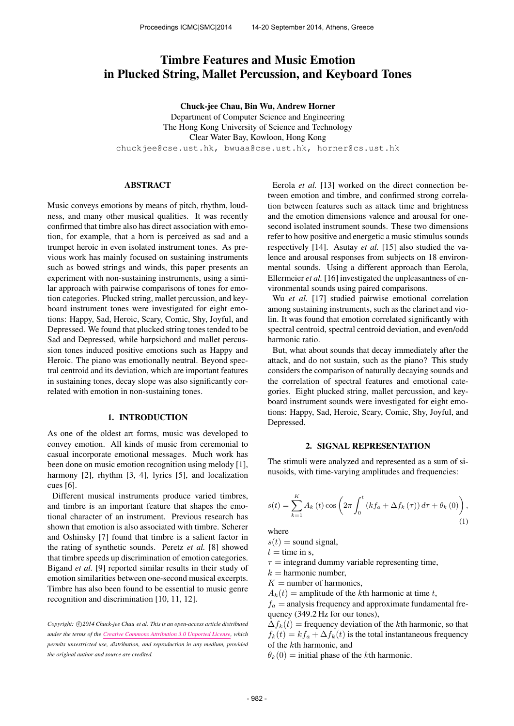# Timbre Features and Music Emotion in Plucked String, Mallet Percussion, and Keyboard Tones

Chuck-jee Chau, Bin Wu, Andrew Horner

Department of Computer Science and Engineering The Hong Kong University of Science and Technology Clear Water Bay, Kowloon, Hong Kong [chuckjee@cse.ust.hk,](mailto:chuckjee@cse.ust.hk) [bwuaa@cse.ust.hk,](mailto:bwuaa@cse.ust.hk) [horner@cs.ust.hk](mailto:horner@cs.ust.hk)

# ABSTRACT

Music conveys emotions by means of pitch, rhythm, loudness, and many other musical qualities. It was recently confirmed that timbre also has direct association with emotion, for example, that a horn is perceived as sad and a trumpet heroic in even isolated instrument tones. As previous work has mainly focused on sustaining instruments such as bowed strings and winds, this paper presents an experiment with non-sustaining instruments, using a similar approach with pairwise comparisons of tones for emotion categories. Plucked string, mallet percussion, and keyboard instrument tones were investigated for eight emotions: Happy, Sad, Heroic, Scary, Comic, Shy, Joyful, and Depressed. We found that plucked string tones tended to be Sad and Depressed, while harpsichord and mallet percussion tones induced positive emotions such as Happy and Heroic. The piano was emotionally neutral. Beyond spectral centroid and its deviation, which are important features in sustaining tones, decay slope was also significantly correlated with emotion in non-sustaining tones.

# 1. INTRODUCTION

As one of the oldest art forms, music was developed to convey emotion. All kinds of music from ceremonial to casual incorporate emotional messages. Much work has been done on music emotion recognition using melody [1], harmony [2], rhythm [3, 4], lyrics [5], and localization cues [6].

Different musical instruments produce varied timbres, and timbre is an important feature that shapes the emotional character of an instrument. Previous research has shown that emotion is also associated with timbre. Scherer and Oshinsky [7] found that timbre is a salient factor in the rating of synthetic sounds. Peretz *et al.* [8] showed that timbre speeds up discrimination of emotion categories. Bigand *et al.* [9] reported similar results in their study of emotion similarities between one-second musical excerpts. Timbre has also been found to be essential to music genre recognition and discrimination [10, 11, 12].

Copyright:  $\bigcirc$ 2014 Chuck-jee Chau et al. This is an open-access article distributed *under the terms of the [Creative Commons Attribution 3.0 Unported License,](http://creativecommons.org/licenses/by/3.0/) which permits unrestricted use, distribution, and reproduction in any medium, provided the original author and source are credited.*

Eerola *et al.* [13] worked on the direct connection between emotion and timbre, and confirmed strong correlation between features such as attack time and brightness and the emotion dimensions valence and arousal for onesecond isolated instrument sounds. These two dimensions refer to how positive and energetic a music stimulus sounds respectively [14]. Asutay *et al.* [15] also studied the valence and arousal responses from subjects on 18 environmental sounds. Using a different approach than Eerola, Ellermeier *et al.* [16] investigated the unpleasantness of environmental sounds using paired comparisons.

Wu *et al.* [17] studied pairwise emotional correlation among sustaining instruments, such as the clarinet and violin. It was found that emotion correlated significantly with spectral centroid, spectral centroid deviation, and even/odd harmonic ratio.

But, what about sounds that decay immediately after the attack, and do not sustain, such as the piano? This study considers the comparison of naturally decaying sounds and the correlation of spectral features and emotional categories. Eight plucked string, mallet percussion, and keyboard instrument sounds were investigated for eight emotions: Happy, Sad, Heroic, Scary, Comic, Shy, Joyful, and Depressed.

#### 2. SIGNAL REPRESENTATION

The stimuli were analyzed and represented as a sum of sinusoids, with time-varying amplitudes and frequencies:

$$
s(t) = \sum_{k=1}^{K} A_k(t) \cos \left( 2\pi \int_0^t \left( k f_a + \Delta f_k(\tau) \right) d\tau + \theta_k(0) \right),
$$
\n(1)

where

 $s(t)$  = sound signal,

 $t =$  time in s,

 $\tau$  = integrand dummy variable representing time,

 $k =$  harmonic number.

- $K =$  number of harmonics,
- $A_k(t)$  = amplitude of the kth harmonic at time t,

 $f_a$  = analysis frequency and approximate fundamental frequency (349.2 Hz for our tones),

 $\Delta f_k(t)$  = frequency deviation of the kth harmonic, so that  $f_k(t) = kf_a + \Delta f_k(t)$  is the total instantaneous frequency of the kth harmonic, and

 $\theta_k(0)$  = initial phase of the kth harmonic.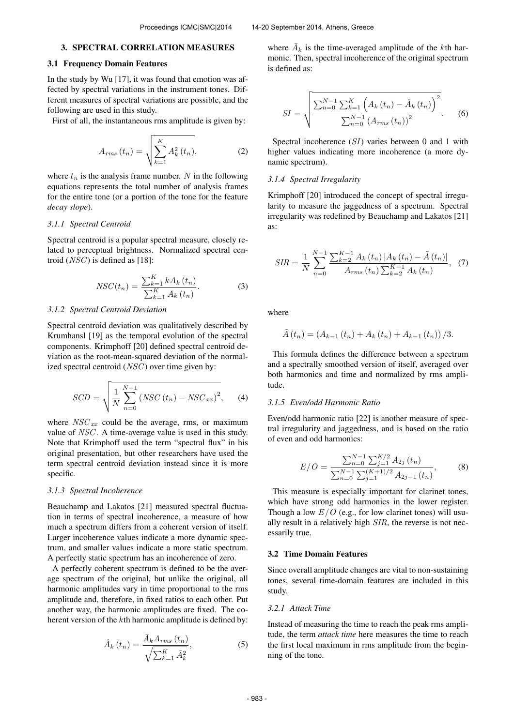# 3. SPECTRAL CORRELATION MEASURES

# 3.1 Frequency Domain Features

In the study by Wu [17], it was found that emotion was affected by spectral variations in the instrument tones. Different measures of spectral variations are possible, and the following are used in this study.

First of all, the instantaneous rms amplitude is given by:

$$
A_{rms}(t_n) = \sqrt{\sum_{k=1}^{K} A_k^2(t_n)},
$$
 (2)

where  $t_n$  is the analysis frame number. N in the following equations represents the total number of analysis frames for the entire tone (or a portion of the tone for the feature *decay slope*).

#### *3.1.1 Spectral Centroid*

Spectral centroid is a popular spectral measure, closely related to perceptual brightness. Normalized spectral centroid  $(NSC)$  is defined as [18]:

$$
NSC(t_n) = \frac{\sum_{k=1}^{K} k A_k(t_n)}{\sum_{k=1}^{K} A_k(t_n)}.
$$
 (3)

## *3.1.2 Spectral Centroid Deviation*

Spectral centroid deviation was qualitatively described by Krumhansl [19] as the temporal evolution of the spectral components. Krimphoff [20] defined spectral centroid deviation as the root-mean-squared deviation of the normalized spectral centroid  $(NSC)$  over time given by:

$$
SCD = \sqrt{\frac{1}{N} \sum_{n=0}^{N-1} (NSC(t_n) - NSC_{xx})^2},
$$
 (4)

where  $NSC_{xx}$  could be the average, rms, or maximum value of NSC. A time-average value is used in this study. Note that Krimphoff used the term "spectral flux" in his original presentation, but other researchers have used the term spectral centroid deviation instead since it is more specific.

#### *3.1.3 Spectral Incoherence*

Beauchamp and Lakatos [21] measured spectral fluctuation in terms of spectral incoherence, a measure of how much a spectrum differs from a coherent version of itself. Larger incoherence values indicate a more dynamic spectrum, and smaller values indicate a more static spectrum. A perfectly static spectrum has an incoherence of zero.

A perfectly coherent spectrum is defined to be the average spectrum of the original, but unlike the original, all harmonic amplitudes vary in time proportional to the rms amplitude and, therefore, in fixed ratios to each other. Put another way, the harmonic amplitudes are fixed. The coherent version of the kth harmonic amplitude is defined by:

$$
\hat{A}_{k}\left(t_{n}\right) = \frac{\bar{A}_{k}A_{rms}\left(t_{n}\right)}{\sqrt{\sum_{k=1}^{K}\bar{A}_{k}^{2}}},\tag{5}
$$

where  $\bar{A}_k$  is the time-averaged amplitude of the kth harmonic. Then, spectral incoherence of the original spectrum is defined as:

$$
SI = \sqrt{\frac{\sum_{n=0}^{N-1} \sum_{k=1}^{K} \left( A_k(t_n) - \hat{A}_k(t_n) \right)^2}{\sum_{n=0}^{N-1} \left( A_{rms}(t_n) \right)^2}}.
$$
 (6)

Spectral incoherence (SI) varies between 0 and 1 with higher values indicating more incoherence (a more dynamic spectrum).

## *3.1.4 Spectral Irregularity*

Krimphoff [20] introduced the concept of spectral irregularity to measure the jaggedness of a spectrum. Spectral irregularity was redefined by Beauchamp and Lakatos [21] as:

$$
SIR = \frac{1}{N} \sum_{n=0}^{N-1} \frac{\sum_{k=2}^{K-1} A_k(t_n) |A_k(t_n) - \tilde{A}(t_n)|}{A_{rms}(t_n) \sum_{k=2}^{K-1} A_k(t_n)}, \quad (7)
$$

where

$$
\tilde{A}(t_n) = (A_{k-1}(t_n) + A_k(t_n) + A_{k-1}(t_n)) / 3.
$$

This formula defines the difference between a spectrum and a spectrally smoothed version of itself, averaged over both harmonics and time and normalized by rms amplitude.

# *3.1.5 Even/odd Harmonic Ratio*

Even/odd harmonic ratio [22] is another measure of spectral irregularity and jaggedness, and is based on the ratio of even and odd harmonics:

$$
E/O = \frac{\sum_{n=0}^{N-1} \sum_{j=1}^{K/2} A_{2j} (t_n)}{\sum_{n=0}^{N-1} \sum_{j=1}^{(K+1)/2} A_{2j-1} (t_n)},
$$
(8)

This measure is especially important for clarinet tones, which have strong odd harmonics in the lower register. Though a low  $E/O$  (e.g., for low clarinet tones) will usually result in a relatively high SIR, the reverse is not necessarily true.

#### 3.2 Time Domain Features

Since overall amplitude changes are vital to non-sustaining tones, several time-domain features are included in this study.

# *3.2.1 Attack Time*

Instead of measuring the time to reach the peak rms amplitude, the term *attack time* here measures the time to reach the first local maximum in rms amplitude from the beginning of the tone.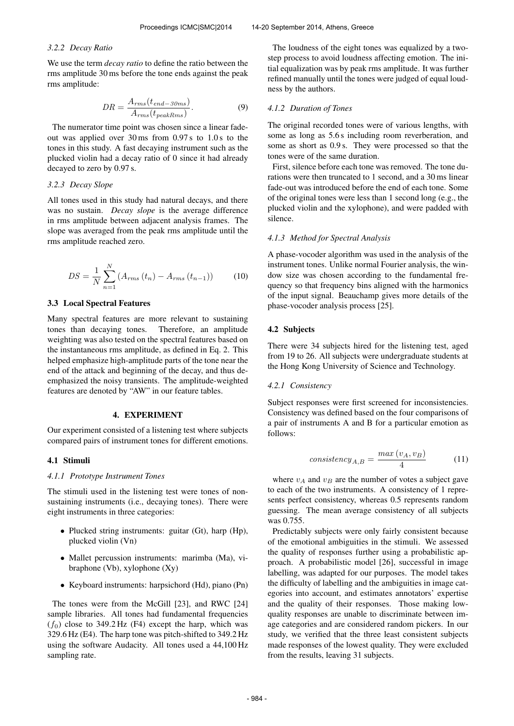#### *3.2.2 Decay Ratio*

We use the term *decay ratio* to define the ratio between the rms amplitude 30 ms before the tone ends against the peak rms amplitude:

$$
DR = \frac{A_{rms}(t_{end-30ms})}{A_{rms}(t_{peakRms})}.
$$
\n(9)

The numerator time point was chosen since a linear fadeout was applied over 30 ms from 0.97 s to 1.0 s to the tones in this study. A fast decaying instrument such as the plucked violin had a decay ratio of 0 since it had already decayed to zero by 0.97 s.

## *3.2.3 Decay Slope*

All tones used in this study had natural decays, and there was no sustain. *Decay slope* is the average difference in rms amplitude between adjacent analysis frames. The slope was averaged from the peak rms amplitude until the rms amplitude reached zero.

$$
DS = \frac{1}{N} \sum_{n=1}^{N} (A_{rms}(t_n) - A_{rms}(t_{n-1}))
$$
 (10)

#### 3.3 Local Spectral Features

Many spectral features are more relevant to sustaining tones than decaying tones. Therefore, an amplitude weighting was also tested on the spectral features based on the instantaneous rms amplitude, as defined in Eq. 2. This helped emphasize high-amplitude parts of the tone near the end of the attack and beginning of the decay, and thus deemphasized the noisy transients. The amplitude-weighted features are denoted by "AW" in our feature tables.

# 4. EXPERIMENT

Our experiment consisted of a listening test where subjects compared pairs of instrument tones for different emotions.

#### 4.1 Stimuli

### *4.1.1 Prototype Instrument Tones*

The stimuli used in the listening test were tones of nonsustaining instruments (i.e., decaying tones). There were eight instruments in three categories:

- Plucked string instruments: guitar (Gt), harp (Hp), plucked violin (Vn)
- Mallet percussion instruments: marimba (Ma), vibraphone (Vb), xylophone  $(Xy)$
- Keyboard instruments: harpsichord (Hd), piano (Pn)

The tones were from the McGill [23], and RWC [24] sample libraries. All tones had fundamental frequencies  $(f_0)$  close to 349.2 Hz (F4) except the harp, which was 329.6 Hz (E4). The harp tone was pitch-shifted to 349.2 Hz using the software Audacity. All tones used a 44,100 Hz sampling rate.

The loudness of the eight tones was equalized by a twostep process to avoid loudness affecting emotion. The initial equalization was by peak rms amplitude. It was further refined manually until the tones were judged of equal loudness by the authors.

# *4.1.2 Duration of Tones*

The original recorded tones were of various lengths, with some as long as 5.6 s including room reverberation, and some as short as 0.9 s. They were processed so that the tones were of the same duration.

First, silence before each tone was removed. The tone durations were then truncated to 1 second, and a 30 ms linear fade-out was introduced before the end of each tone. Some of the original tones were less than 1 second long (e.g., the plucked violin and the xylophone), and were padded with silence.

#### *4.1.3 Method for Spectral Analysis*

A phase-vocoder algorithm was used in the analysis of the instrument tones. Unlike normal Fourier analysis, the window size was chosen according to the fundamental frequency so that frequency bins aligned with the harmonics of the input signal. Beauchamp gives more details of the phase-vocoder analysis process [25].

#### 4.2 Subjects

There were 34 subjects hired for the listening test, aged from 19 to 26. All subjects were undergraduate students at the Hong Kong University of Science and Technology.

## *4.2.1 Consistency*

Subject responses were first screened for inconsistencies. Consistency was defined based on the four comparisons of a pair of instruments A and B for a particular emotion as follows:

$$
consistency_{A,B} = \frac{max\left(v_A, v_B\right)}{4} \tag{11}
$$

where  $v_A$  and  $v_B$  are the number of votes a subject gave to each of the two instruments. A consistency of 1 represents perfect consistency, whereas 0.5 represents random guessing. The mean average consistency of all subjects was 0.755.

Predictably subjects were only fairly consistent because of the emotional ambiguities in the stimuli. We assessed the quality of responses further using a probabilistic approach. A probabilistic model [26], successful in image labelling, was adapted for our purposes. The model takes the difficulty of labelling and the ambiguities in image categories into account, and estimates annotators' expertise and the quality of their responses. Those making lowquality responses are unable to discriminate between image categories and are considered random pickers. In our study, we verified that the three least consistent subjects made responses of the lowest quality. They were excluded from the results, leaving 31 subjects.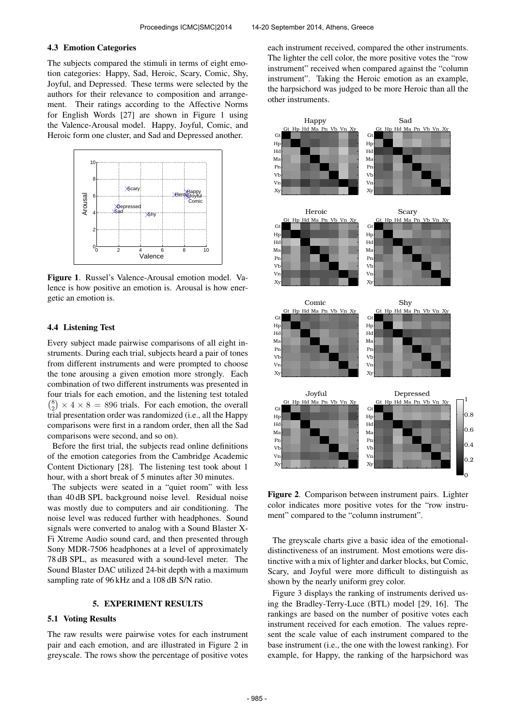## 4.3 Emotion Categories

The subjects compared the stimuli in terms of eight emotion categories: Happy, Sad, Heroic, Scary, Comic, Shy, Joyful, and Depressed. These terms were selected by the authors for their relevance to composition and arrangement. Their ratings according to the Affective Norms for English Words [27] are shown in Figure 1 using the Valence-Arousal model. Happy, Joyful, Comic, and Heroic form one cluster, and Sad and Depressed another.



Figure 1. Russel's Valence-Arousal emotion model. Valence is how positive an emotion is. Arousal is how energetic an emotion is.

# 4.4 Listening Test

Every subject made pairwise comparisons of all eight instruments. During each trial, subjects heard a pair of tones from different instruments and were prompted to choose the tone arousing a given emotion more strongly. Each combination of two different instruments was presented in four trials for each emotion, and the listening test totaled  ${8 \choose 2} \times 4 \times 8 = 896$  trials. For each emotion, the overall trial presentation order was randomized (i.e., all the Happy comparisons were first in a random order, then all the Sad comparisons were second, and so on).

Before the first trial, the subjects read online definitions of the emotion categories from the Cambridge Academic Content Dictionary [28]. The listening test took about 1 hour, with a short break of 5 minutes after 30 minutes.

The subjects were seated in a "quiet room" with less than 40 dB SPL background noise level. Residual noise was mostly due to computers and air conditioning. The noise level was reduced further with headphones. Sound signals were converted to analog with a Sound Blaster X-Fi Xtreme Audio sound card, and then presented through Sony MDR-7506 headphones at a level of approximately 78 dB SPL, as measured with a sound-level meter. The Sound Blaster DAC utilized 24-bit depth with a maximum sampling rate of 96 kHz and a 108 dB S/N ratio.

# 5. EXPERIMENT RESULTS

# 5.1 Voting Results

The raw results were pairwise votes for each instrument pair and each emotion, and are illustrated in Figure 2 in greyscale. The rows show the percentage of positive votes each instrument received, compared the other instruments. The lighter the cell color, the more positive votes the "row instrument" received when compared against the "column instrument". Taking the Heroic emotion as an example, the harpsichord was judged to be more Heroic than all the other instruments.



Figure 2. Comparison between instrument pairs. Lighter color indicates more positive votes for the "row instrument" compared to the "column instrument".

The greyscale charts give a basic idea of the emotionaldistinctiveness of an instrument. Most emotions were distinctive with a mix of lighter and darker blocks, but Comic, Scary, and Joyful were more difficult to distinguish as shown by the nearly uniform grey color.

Figure 3 displays the ranking of instruments derived using the Bradley-Terry-Luce (BTL) model [29, 16]. The rankings are based on the number of positive votes each instrument received for each emotion. The values represent the scale value of each instrument compared to the base instrument (i.e., the one with the lowest ranking). For example, for Happy, the ranking of the harpsichord was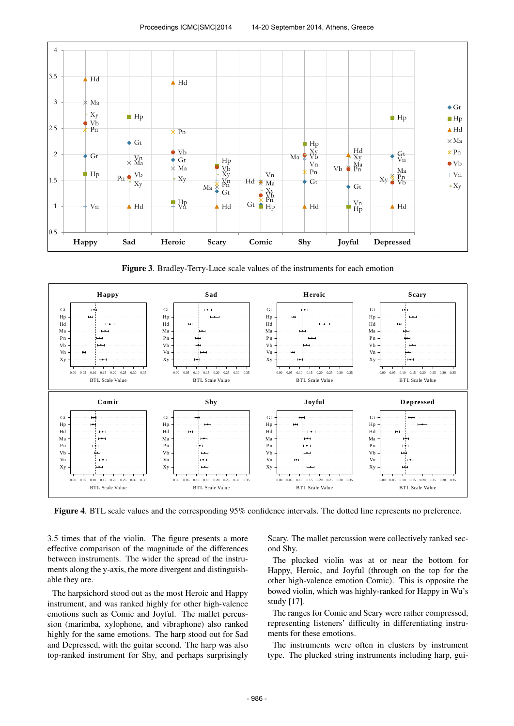

Figure 3. Bradley-Terry-Luce scale values of the instruments for each emotion



Figure 4. BTL scale values and the corresponding 95% confidence intervals. The dotted line represents no preference.

3.5 times that of the violin. The figure presents a more effective comparison of the magnitude of the differences between instruments. The wider the spread of the instruments along the y-axis, the more divergent and distinguishable they are.

The harpsichord stood out as the most Heroic and Happy instrument, and was ranked highly for other high-valence emotions such as Comic and Joyful. The mallet percussion (marimba, xylophone, and vibraphone) also ranked highly for the same emotions. The harp stood out for Sad and Depressed, with the guitar second. The harp was also top-ranked instrument for Shy, and perhaps surprisingly Scary. The mallet percussion were collectively ranked second Shy.

The plucked violin was at or near the bottom for Happy, Heroic, and Joyful (through on the top for the other high-valence emotion Comic). This is opposite the bowed violin, which was highly-ranked for Happy in Wu's study [17].

The ranges for Comic and Scary were rather compressed, representing listeners' difficulty in differentiating instruments for these emotions.

The instruments were often in clusters by instrument type. The plucked string instruments including harp, gui-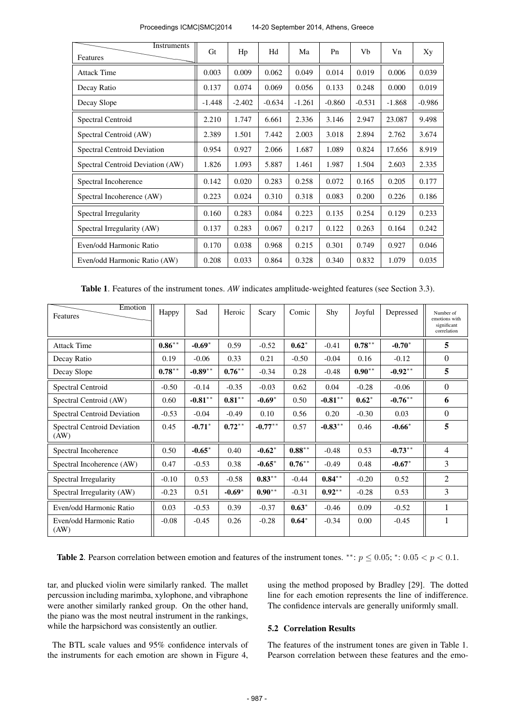| Instruments<br>Features            | Gt       | Hp       | Hd       | Ma       | P <sub>n</sub> | Vb       | Vn       | Xy       |
|------------------------------------|----------|----------|----------|----------|----------------|----------|----------|----------|
| <b>Attack Time</b>                 | 0.003    | 0.009    | 0.062    | 0.049    | 0.014          | 0.019    | 0.006    | 0.039    |
| Decay Ratio                        | 0.137    | 0.074    | 0.069    | 0.056    | 0.133          | 0.248    | 0.000    | 0.019    |
| Decay Slope                        | $-1.448$ | $-2.402$ | $-0.634$ | $-1.261$ | $-0.860$       | $-0.531$ | $-1.868$ | $-0.986$ |
| Spectral Centroid                  | 2.210    | 1.747    | 6.661    | 2.336    | 3.146          | 2.947    | 23.087   | 9.498    |
| Spectral Centroid (AW)             | 2.389    | 1.501    | 7.442    | 2.003    | 3.018          | 2.894    | 2.762    | 3.674    |
| <b>Spectral Centroid Deviation</b> | 0.954    | 0.927    | 2.066    | 1.687    | 1.089          | 0.824    | 17.656   | 8.919    |
| Spectral Centroid Deviation (AW)   | 1.826    | 1.093    | 5.887    | 1.461    | 1.987          | 1.504    | 2.603    | 2.335    |
| Spectral Incoherence               | 0.142    | 0.020    | 0.283    | 0.258    | 0.072          | 0.165    | 0.205    | 0.177    |
| Spectral Incoherence (AW)          | 0.223    | 0.024    | 0.310    | 0.318    | 0.083          | 0.200    | 0.226    | 0.186    |
| Spectral Irregularity              | 0.160    | 0.283    | 0.084    | 0.223    | 0.135          | 0.254    | 0.129    | 0.233    |
| Spectral Irregularity (AW)         | 0.137    | 0.283    | 0.067    | 0.217    | 0.122          | 0.263    | 0.164    | 0.242    |
| Even/odd Harmonic Ratio            | 0.170    | 0.038    | 0.968    | 0.215    | 0.301          | 0.749    | 0.927    | 0.046    |
| Even/odd Harmonic Ratio (AW)       | 0.208    | 0.033    | 0.864    | 0.328    | 0.340          | 0.832    | 1.079    | 0.035    |

| Proceedings ICMC SMC 2014 | 14-20 September 2014, Athens, Greece |
|---------------------------|--------------------------------------|
|---------------------------|--------------------------------------|

Table 1. Features of the instrument tones. *AW* indicates amplitude-weighted features (see Section 3.3).

| Emotion<br>Features                 | Happy     | Sad        | Heroic    | Scary      | Comic     | Shy        | Joyful    | Depressed  | Number of<br>emotions with<br>significant<br>correlation |
|-------------------------------------|-----------|------------|-----------|------------|-----------|------------|-----------|------------|----------------------------------------------------------|
| <b>Attack Time</b>                  | $0.86***$ | $-0.69*$   | 0.59      | $-0.52$    | $0.62*$   | $-0.41$    | $0.78***$ | $-0.70*$   | 5                                                        |
| Decay Ratio                         | 0.19      | $-0.06$    | 0.33      | 0.21       | $-0.50$   | $-0.04$    | 0.16      | $-0.12$    | $\Omega$                                                 |
| Decay Slope                         | $0.78***$ | $-0.89**$  | $0.76***$ | $-0.34$    | 0.28      | $-0.48$    | $0.90***$ | $-0.92**$  | 5                                                        |
| Spectral Centroid                   | $-0.50$   | $-0.14$    | $-0.35$   | $-0.03$    | 0.62      | 0.04       | $-0.28$   | $-0.06$    | $\Omega$                                                 |
| Spectral Centroid (AW)              | 0.60      | $-0.81***$ | $0.81***$ | $-0.69*$   | 0.50      | $-0.81***$ | $0.62*$   | $-0.76***$ | 6                                                        |
| Spectral Centroid Deviation         | $-0.53$   | $-0.04$    | $-0.49$   | 0.10       | 0.56      | 0.20       | $-0.30$   | 0.03       | $\Omega$                                                 |
| Spectral Centroid Deviation<br>(AW) | 0.45      | $-0.71*$   | $0.72***$ | $-0.77***$ | 0.57      | $-0.83***$ | 0.46      | $-0.66*$   | 5                                                        |
| Spectral Incoherence                | 0.50      | $-0.65*$   | 0.40      | $-0.62*$   | $0.88***$ | $-0.48$    | 0.53      | $-0.73***$ | $\overline{4}$                                           |
| Spectral Incoherence (AW)           | 0.47      | $-0.53$    | 0.38      | $-0.65*$   | $0.76***$ | $-0.49$    | 0.48      | $-0.67*$   | 3                                                        |
| Spectral Irregularity               | $-0.10$   | 0.53       | $-0.58$   | $0.83***$  | $-0.44$   | $0.84***$  | $-0.20$   | 0.52       | 2                                                        |
| Spectral Irregularity (AW)          | $-0.23$   | 0.51       | $-0.69*$  | $0.90**$   | $-0.31$   | $0.92***$  | $-0.28$   | 0.53       | 3                                                        |
| Even/odd Harmonic Ratio             | 0.03      | $-0.53$    | 0.39      | $-0.37$    | $0.63*$   | $-0.46$    | 0.09      | $-0.52$    | 1                                                        |
| Even/odd Harmonic Ratio<br>(AW)     | $-0.08$   | $-0.45$    | 0.26      | $-0.28$    | $0.64*$   | $-0.34$    | 0.00      | $-0.45$    | 1                                                        |

Table 2. Pearson correlation between emotion and features of the instrument tones. \*\*:  $p \le 0.05$ ; \*:  $0.05 < p < 0.1$ .

tar, and plucked violin were similarly ranked. The mallet percussion including marimba, xylophone, and vibraphone were another similarly ranked group. On the other hand, the piano was the most neutral instrument in the rankings, while the harpsichord was consistently an outlier.

The BTL scale values and 95% confidence intervals of the instruments for each emotion are shown in Figure 4,

using the method proposed by Bradley [29]. The dotted line for each emotion represents the line of indifference. The confidence intervals are generally uniformly small.

# 5.2 Correlation Results

The features of the instrument tones are given in Table 1. Pearson correlation between these features and the emo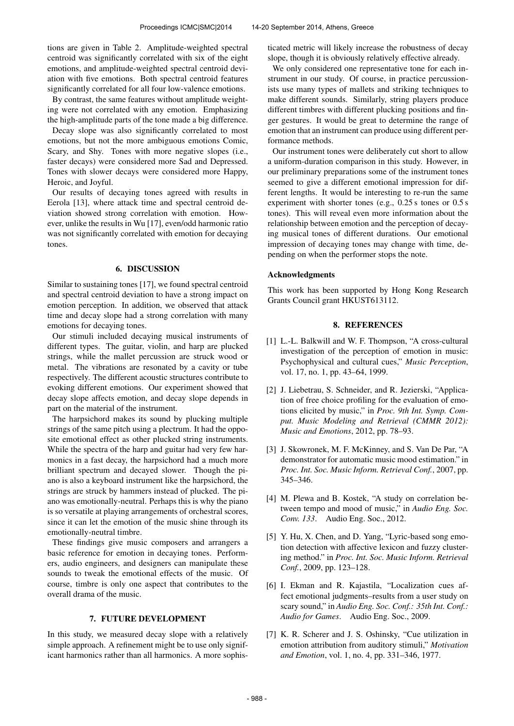tions are given in Table 2. Amplitude-weighted spectral centroid was significantly correlated with six of the eight emotions, and amplitude-weighted spectral centroid deviation with five emotions. Both spectral centroid features significantly correlated for all four low-valence emotions.

By contrast, the same features without amplitude weighting were not correlated with any emotion. Emphasizing the high-amplitude parts of the tone made a big difference.

Decay slope was also significantly correlated to most emotions, but not the more ambiguous emotions Comic, Scary, and Shy. Tones with more negative slopes (i.e., faster decays) were considered more Sad and Depressed. Tones with slower decays were considered more Happy, Heroic, and Joyful.

Our results of decaying tones agreed with results in Eerola [13], where attack time and spectral centroid deviation showed strong correlation with emotion. However, unlike the results in Wu [17], even/odd harmonic ratio was not significantly correlated with emotion for decaying tones.

# 6. DISCUSSION

Similar to sustaining tones [17], we found spectral centroid and spectral centroid deviation to have a strong impact on emotion perception. In addition, we observed that attack time and decay slope had a strong correlation with many emotions for decaying tones.

Our stimuli included decaying musical instruments of different types. The guitar, violin, and harp are plucked strings, while the mallet percussion are struck wood or metal. The vibrations are resonated by a cavity or tube respectively. The different acoustic structures contribute to evoking different emotions. Our experiment showed that decay slope affects emotion, and decay slope depends in part on the material of the instrument.

The harpsichord makes its sound by plucking multiple strings of the same pitch using a plectrum. It had the opposite emotional effect as other plucked string instruments. While the spectra of the harp and guitar had very few harmonics in a fast decay, the harpsichord had a much more brilliant spectrum and decayed slower. Though the piano is also a keyboard instrument like the harpsichord, the strings are struck by hammers instead of plucked. The piano was emotionally-neutral. Perhaps this is why the piano is so versatile at playing arrangements of orchestral scores, since it can let the emotion of the music shine through its emotionally-neutral timbre.

These findings give music composers and arrangers a basic reference for emotion in decaying tones. Performers, audio engineers, and designers can manipulate these sounds to tweak the emotional effects of the music. Of course, timbre is only one aspect that contributes to the overall drama of the music.

#### 7. FUTURE DEVELOPMENT

In this study, we measured decay slope with a relatively simple approach. A refinement might be to use only significant harmonics rather than all harmonics. A more sophisticated metric will likely increase the robustness of decay slope, though it is obviously relatively effective already.

We only considered one representative tone for each instrument in our study. Of course, in practice percussionists use many types of mallets and striking techniques to make different sounds. Similarly, string players produce different timbres with different plucking positions and finger gestures. It would be great to determine the range of emotion that an instrument can produce using different performance methods.

Our instrument tones were deliberately cut short to allow a uniform-duration comparison in this study. However, in our preliminary preparations some of the instrument tones seemed to give a different emotional impression for different lengths. It would be interesting to re-run the same experiment with shorter tones (e.g., 0.25 s tones or 0.5 s tones). This will reveal even more information about the relationship between emotion and the perception of decaying musical tones of different durations. Our emotional impression of decaying tones may change with time, depending on when the performer stops the note.

#### Acknowledgments

This work has been supported by Hong Kong Research Grants Council grant HKUST613112.

# 8. REFERENCES

- [1] L.-L. Balkwill and W. F. Thompson, "A cross-cultural investigation of the perception of emotion in music: Psychophysical and cultural cues," *Music Perception*, vol. 17, no. 1, pp. 43–64, 1999.
- [2] J. Liebetrau, S. Schneider, and R. Jezierski, "Application of free choice profiling for the evaluation of emotions elicited by music," in *Proc. 9th Int. Symp. Comput. Music Modeling and Retrieval (CMMR 2012): Music and Emotions*, 2012, pp. 78–93.
- [3] J. Skowronek, M. F. McKinney, and S. Van De Par, "A demonstrator for automatic music mood estimation." in *Proc. Int. Soc. Music Inform. Retrieval Conf.*, 2007, pp. 345–346.
- [4] M. Plewa and B. Kostek, "A study on correlation between tempo and mood of music," in *Audio Eng. Soc. Conv. 133*. Audio Eng. Soc., 2012.
- [5] Y. Hu, X. Chen, and D. Yang, "Lyric-based song emotion detection with affective lexicon and fuzzy clustering method." in *Proc. Int. Soc. Music Inform. Retrieval Conf.*, 2009, pp. 123–128.
- [6] I. Ekman and R. Kajastila, "Localization cues affect emotional judgments–results from a user study on scary sound," in *Audio Eng. Soc. Conf.: 35th Int. Conf.: Audio for Games*. Audio Eng. Soc., 2009.
- [7] K. R. Scherer and J. S. Oshinsky, "Cue utilization in emotion attribution from auditory stimuli," *Motivation and Emotion*, vol. 1, no. 4, pp. 331–346, 1977.